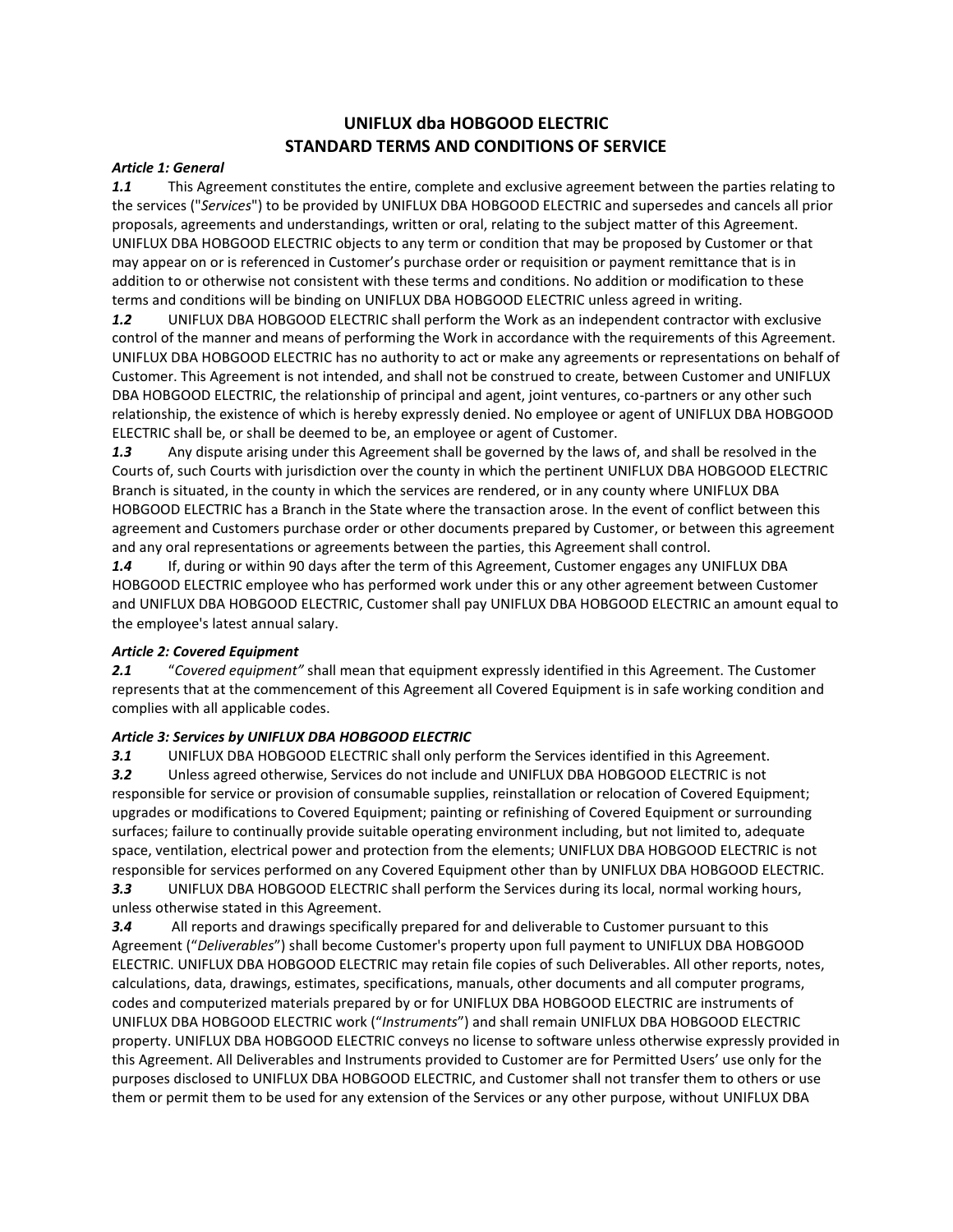# **UNIFLUX dba HOBGOOD ELECTRIC STANDARD TERMS AND CONDITIONS OF SERVICE**

### *Article 1: General*

*1.1* This Agreement constitutes the entire, complete and exclusive agreement between the parties relating to the services ("*Services*") to be provided by UNIFLUX DBA HOBGOOD ELECTRIC and supersedes and cancels all prior proposals, agreements and understandings, written or oral, relating to the subject matter of this Agreement. UNIFLUX DBA HOBGOOD ELECTRIC objects to any term or condition that may be proposed by Customer or that may appear on or is referenced in Customer's purchase order or requisition or payment remittance that is in addition to or otherwise not consistent with these terms and conditions. No addition or modification to these terms and conditions will be binding on UNIFLUX DBA HOBGOOD ELECTRIC unless agreed in writing.

*1.2* UNIFLUX DBA HOBGOOD ELECTRIC shall perform the Work as an independent contractor with exclusive control of the manner and means of performing the Work in accordance with the requirements of this Agreement. UNIFLUX DBA HOBGOOD ELECTRIC has no authority to act or make any agreements or representations on behalf of Customer. This Agreement is not intended, and shall not be construed to create, between Customer and UNIFLUX DBA HOBGOOD ELECTRIC, the relationship of principal and agent, joint ventures, co-partners or any other such relationship, the existence of which is hereby expressly denied. No employee or agent of UNIFLUX DBA HOBGOOD ELECTRIC shall be, or shall be deemed to be, an employee or agent of Customer.

*1.3* Any dispute arising under this Agreement shall be governed by the laws of, and shall be resolved in the Courts of, such Courts with jurisdiction over the county in which the pertinent UNIFLUX DBA HOBGOOD ELECTRIC Branch is situated, in the county in which the services are rendered, or in any county where UNIFLUX DBA HOBGOOD ELECTRIC has a Branch in the State where the transaction arose. In the event of conflict between this agreement and Customers purchase order or other documents prepared by Customer, or between this agreement and any oral representations or agreements between the parties, this Agreement shall control.

1.4 If, during or within 90 days after the term of this Agreement, Customer engages any UNIFLUX DBA HOBGOOD ELECTRIC employee who has performed work under this or any other agreement between Customer and UNIFLUX DBA HOBGOOD ELECTRIC, Customer shall pay UNIFLUX DBA HOBGOOD ELECTRIC an amount equal to the employee's latest annual salary.

### *Article 2: Covered Equipment*

*2.1* "*Covered equipment"* shall mean that equipment expressly identified in this Agreement. The Customer represents that at the commencement of this Agreement all Covered Equipment is in safe working condition and complies with all applicable codes.

# *Article 3: Services by UNIFLUX DBA HOBGOOD ELECTRIC*

*3.1* UNIFLUX DBA HOBGOOD ELECTRIC shall only perform the Services identified in this Agreement. *3.2* Unless agreed otherwise, Services do not include and UNIFLUX DBA HOBGOOD ELECTRIC is not responsible for service or provision of consumable supplies, reinstallation or relocation of Covered Equipment; upgrades or modifications to Covered Equipment; painting or refinishing of Covered Equipment or surrounding surfaces; failure to continually provide suitable operating environment including, but not limited to, adequate space, ventilation, electrical power and protection from the elements; UNIFLUX DBA HOBGOOD ELECTRIC is not responsible for services performed on any Covered Equipment other than by UNIFLUX DBA HOBGOOD ELECTRIC.

*3.3* UNIFLUX DBA HOBGOOD ELECTRIC shall perform the Services during its local, normal working hours, unless otherwise stated in this Agreement.

*3.4* All reports and drawings specifically prepared for and deliverable to Customer pursuant to this Agreement ("*Deliverables*") shall become Customer's property upon full payment to UNIFLUX DBA HOBGOOD ELECTRIC. UNIFLUX DBA HOBGOOD ELECTRIC may retain file copies of such Deliverables. All other reports, notes, calculations, data, drawings, estimates, specifications, manuals, other documents and all computer programs, codes and computerized materials prepared by or for UNIFLUX DBA HOBGOOD ELECTRIC are instruments of UNIFLUX DBA HOBGOOD ELECTRIC work ("*Instruments*") and shall remain UNIFLUX DBA HOBGOOD ELECTRIC property. UNIFLUX DBA HOBGOOD ELECTRIC conveys no license to software unless otherwise expressly provided in this Agreement. All Deliverables and Instruments provided to Customer are for Permitted Users' use only for the purposes disclosed to UNIFLUX DBA HOBGOOD ELECTRIC, and Customer shall not transfer them to others or use them or permit them to be used for any extension of the Services or any other purpose, without UNIFLUX DBA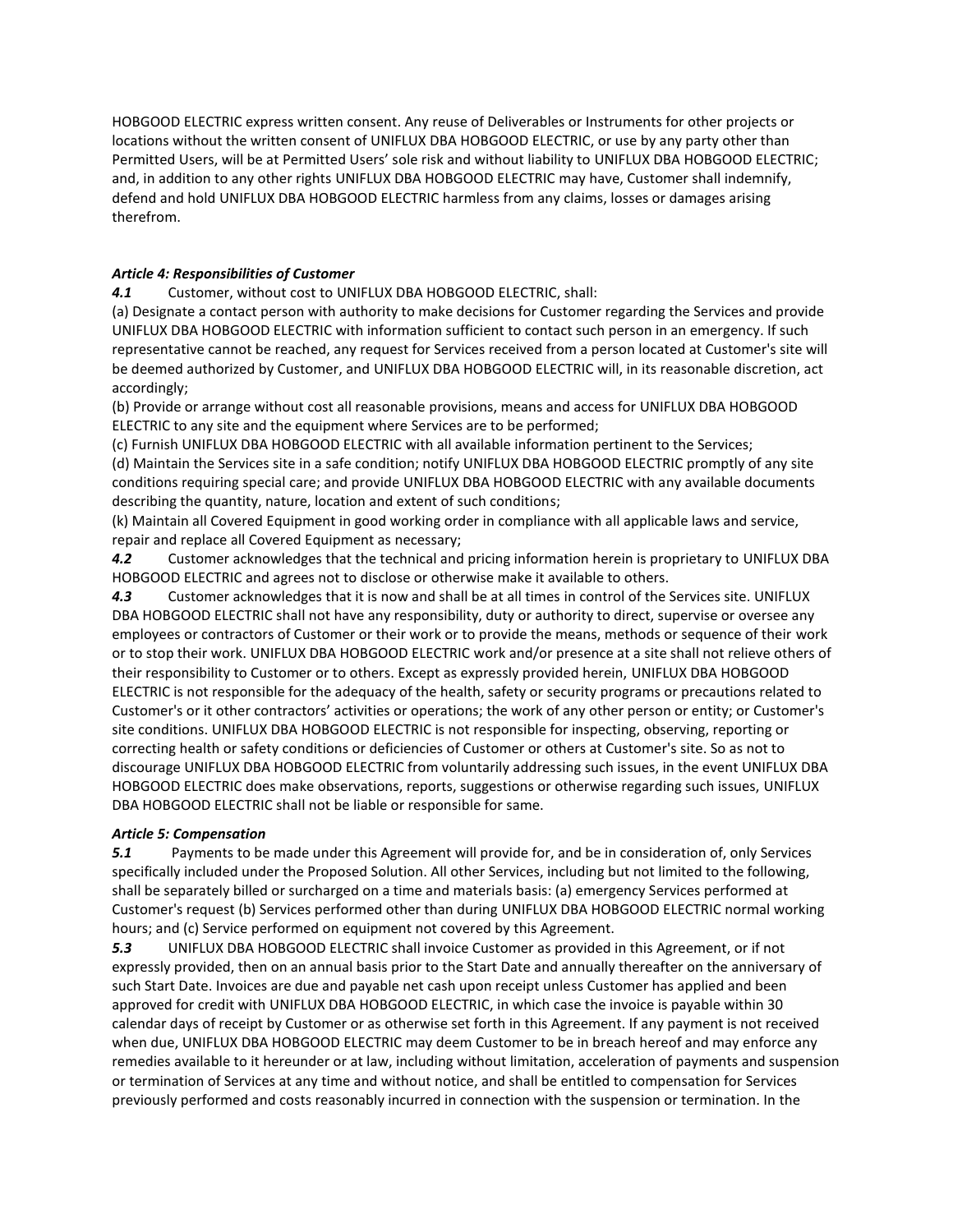HOBGOOD ELECTRIC express written consent. Any reuse of Deliverables or Instruments for other projects or locations without the written consent of UNIFLUX DBA HOBGOOD ELECTRIC, or use by any party other than Permitted Users, will be at Permitted Users' sole risk and without liability to UNIFLUX DBA HOBGOOD ELECTRIC; and, in addition to any other rights UNIFLUX DBA HOBGOOD ELECTRIC may have, Customer shall indemnify, defend and hold UNIFLUX DBA HOBGOOD ELECTRIC harmless from any claims, losses or damages arising therefrom.

## *Article 4: Responsibilities of Customer*

*4.1* Customer, without cost to UNIFLUX DBA HOBGOOD ELECTRIC, shall:

(a) Designate a contact person with authority to make decisions for Customer regarding the Services and provide UNIFLUX DBA HOBGOOD ELECTRIC with information sufficient to contact such person in an emergency. If such representative cannot be reached, any request for Services received from a person located at Customer's site will be deemed authorized by Customer, and UNIFLUX DBA HOBGOOD ELECTRIC will, in its reasonable discretion, act accordingly;

(b) Provide or arrange without cost all reasonable provisions, means and access for UNIFLUX DBA HOBGOOD ELECTRIC to any site and the equipment where Services are to be performed;

(c) Furnish UNIFLUX DBA HOBGOOD ELECTRIC with all available information pertinent to the Services; (d) Maintain the Services site in a safe condition; notify UNIFLUX DBA HOBGOOD ELECTRIC promptly of any site conditions requiring special care; and provide UNIFLUX DBA HOBGOOD ELECTRIC with any available documents describing the quantity, nature, location and extent of such conditions;

(k) Maintain all Covered Equipment in good working order in compliance with all applicable laws and service, repair and replace all Covered Equipment as necessary;

*4.2* Customer acknowledges that the technical and pricing information herein is proprietary to UNIFLUX DBA HOBGOOD ELECTRIC and agrees not to disclose or otherwise make it available to others.

*4.3* Customer acknowledges that it is now and shall be at all times in control of the Services site. UNIFLUX DBA HOBGOOD ELECTRIC shall not have any responsibility, duty or authority to direct, supervise or oversee any employees or contractors of Customer or their work or to provide the means, methods or sequence of their work or to stop their work. UNIFLUX DBA HOBGOOD ELECTRIC work and/or presence at a site shall not relieve others of their responsibility to Customer or to others. Except as expressly provided herein, UNIFLUX DBA HOBGOOD ELECTRIC is not responsible for the adequacy of the health, safety or security programs or precautions related to Customer's or it other contractors' activities or operations; the work of any other person or entity; or Customer's site conditions. UNIFLUX DBA HOBGOOD ELECTRIC is not responsible for inspecting, observing, reporting or correcting health or safety conditions or deficiencies of Customer or others at Customer's site. So as not to discourage UNIFLUX DBA HOBGOOD ELECTRIC from voluntarily addressing such issues, in the event UNIFLUX DBA HOBGOOD ELECTRIC does make observations, reports, suggestions or otherwise regarding such issues, UNIFLUX DBA HOBGOOD ELECTRIC shall not be liable or responsible for same.

### *Article 5: Compensation*

*5.1* Payments to be made under this Agreement will provide for, and be in consideration of, only Services specifically included under the Proposed Solution. All other Services, including but not limited to the following, shall be separately billed or surcharged on a time and materials basis: (a) emergency Services performed at Customer's request (b) Services performed other than during UNIFLUX DBA HOBGOOD ELECTRIC normal working hours; and (c) Service performed on equipment not covered by this Agreement.

*5.3* UNIFLUX DBA HOBGOOD ELECTRIC shall invoice Customer as provided in this Agreement, or if not expressly provided, then on an annual basis prior to the Start Date and annually thereafter on the anniversary of such Start Date. Invoices are due and payable net cash upon receipt unless Customer has applied and been approved for credit with UNIFLUX DBA HOBGOOD ELECTRIC, in which case the invoice is payable within 30 calendar days of receipt by Customer or as otherwise set forth in this Agreement. If any payment is not received when due, UNIFLUX DBA HOBGOOD ELECTRIC may deem Customer to be in breach hereof and may enforce any remedies available to it hereunder or at law, including without limitation, acceleration of payments and suspension or termination of Services at any time and without notice, and shall be entitled to compensation for Services previously performed and costs reasonably incurred in connection with the suspension or termination. In the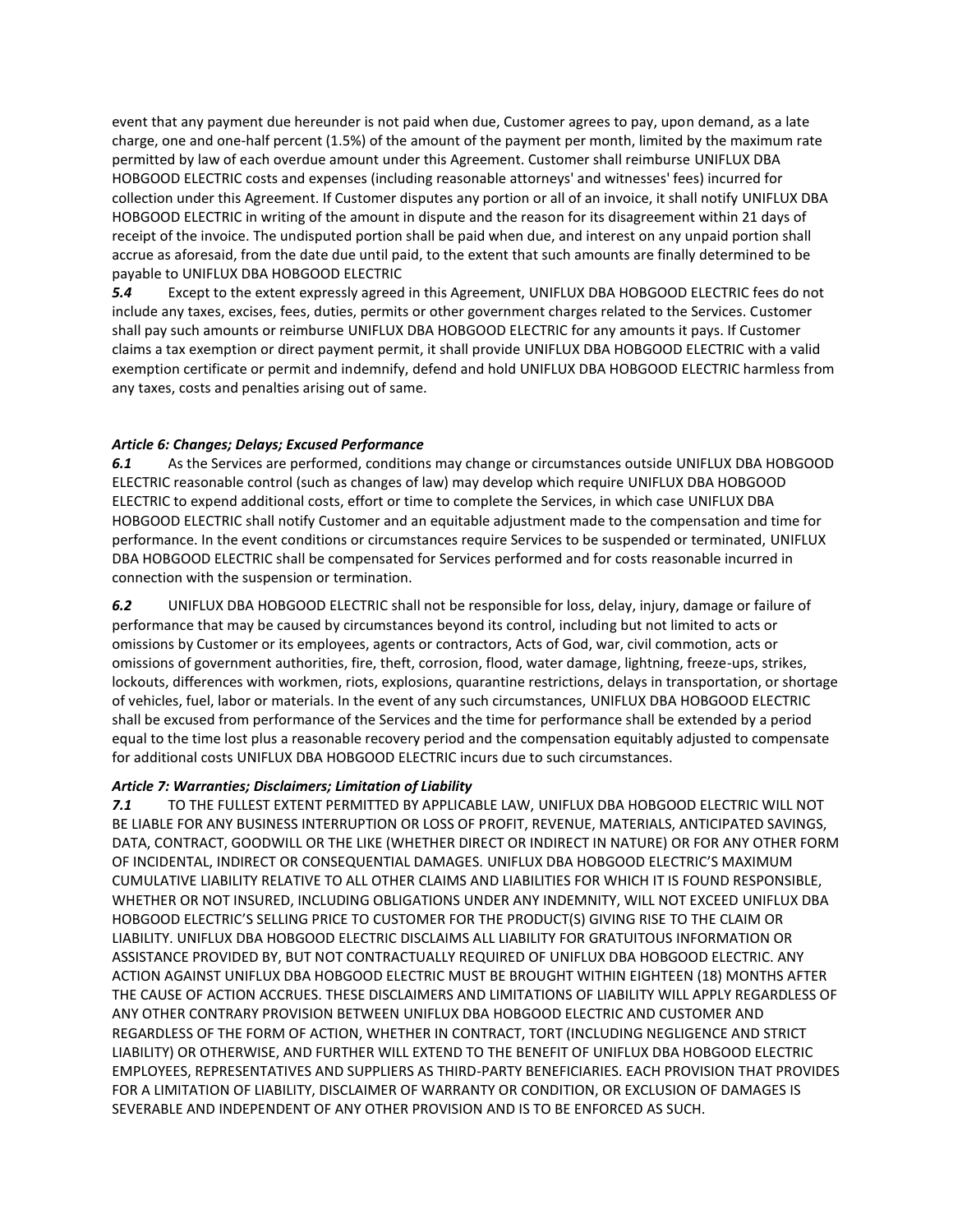event that any payment due hereunder is not paid when due, Customer agrees to pay, upon demand, as a late charge, one and one-half percent (1.5%) of the amount of the payment per month, limited by the maximum rate permitted by law of each overdue amount under this Agreement. Customer shall reimburse UNIFLUX DBA HOBGOOD ELECTRIC costs and expenses (including reasonable attorneys' and witnesses' fees) incurred for collection under this Agreement. If Customer disputes any portion or all of an invoice, it shall notify UNIFLUX DBA HOBGOOD ELECTRIC in writing of the amount in dispute and the reason for its disagreement within 21 days of receipt of the invoice. The undisputed portion shall be paid when due, and interest on any unpaid portion shall accrue as aforesaid, from the date due until paid, to the extent that such amounts are finally determined to be payable to UNIFLUX DBA HOBGOOD ELECTRIC

*5.4* Except to the extent expressly agreed in this Agreement, UNIFLUX DBA HOBGOOD ELECTRIC fees do not include any taxes, excises, fees, duties, permits or other government charges related to the Services. Customer shall pay such amounts or reimburse UNIFLUX DBA HOBGOOD ELECTRIC for any amounts it pays. If Customer claims a tax exemption or direct payment permit, it shall provide UNIFLUX DBA HOBGOOD ELECTRIC with a valid exemption certificate or permit and indemnify, defend and hold UNIFLUX DBA HOBGOOD ELECTRIC harmless from any taxes, costs and penalties arising out of same.

### *Article 6: Changes; Delays; Excused Performance*

*6.1* As the Services are performed, conditions may change or circumstances outside UNIFLUX DBA HOBGOOD ELECTRIC reasonable control (such as changes of law) may develop which require UNIFLUX DBA HOBGOOD ELECTRIC to expend additional costs, effort or time to complete the Services, in which case UNIFLUX DBA HOBGOOD ELECTRIC shall notify Customer and an equitable adjustment made to the compensation and time for performance. In the event conditions or circumstances require Services to be suspended or terminated, UNIFLUX DBA HOBGOOD ELECTRIC shall be compensated for Services performed and for costs reasonable incurred in connection with the suspension or termination.

*6.2* UNIFLUX DBA HOBGOOD ELECTRIC shall not be responsible for loss, delay, injury, damage or failure of performance that may be caused by circumstances beyond its control, including but not limited to acts or omissions by Customer or its employees, agents or contractors, Acts of God, war, civil commotion, acts or omissions of government authorities, fire, theft, corrosion, flood, water damage, lightning, freeze-ups, strikes, lockouts, differences with workmen, riots, explosions, quarantine restrictions, delays in transportation, or shortage of vehicles, fuel, labor or materials. In the event of any such circumstances, UNIFLUX DBA HOBGOOD ELECTRIC shall be excused from performance of the Services and the time for performance shall be extended by a period equal to the time lost plus a reasonable recovery period and the compensation equitably adjusted to compensate for additional costs UNIFLUX DBA HOBGOOD ELECTRIC incurs due to such circumstances.

### *Article 7: Warranties; Disclaimers; Limitation of Liability*

*7.1* TO THE FULLEST EXTENT PERMITTED BY APPLICABLE LAW, UNIFLUX DBA HOBGOOD ELECTRIC WILL NOT BE LIABLE FOR ANY BUSINESS INTERRUPTION OR LOSS OF PROFIT, REVENUE, MATERIALS, ANTICIPATED SAVINGS, DATA, CONTRACT, GOODWILL OR THE LIKE (WHETHER DIRECT OR INDIRECT IN NATURE) OR FOR ANY OTHER FORM OF INCIDENTAL, INDIRECT OR CONSEQUENTIAL DAMAGES. UNIFLUX DBA HOBGOOD ELECTRIC'S MAXIMUM CUMULATIVE LIABILITY RELATIVE TO ALL OTHER CLAIMS AND LIABILITIES FOR WHICH IT IS FOUND RESPONSIBLE, WHETHER OR NOT INSURED, INCLUDING OBLIGATIONS UNDER ANY INDEMNITY, WILL NOT EXCEED UNIFLUX DBA HOBGOOD ELECTRIC'S SELLING PRICE TO CUSTOMER FOR THE PRODUCT(S) GIVING RISE TO THE CLAIM OR LIABILITY. UNIFLUX DBA HOBGOOD ELECTRIC DISCLAIMS ALL LIABILITY FOR GRATUITOUS INFORMATION OR ASSISTANCE PROVIDED BY, BUT NOT CONTRACTUALLY REQUIRED OF UNIFLUX DBA HOBGOOD ELECTRIC. ANY ACTION AGAINST UNIFLUX DBA HOBGOOD ELECTRIC MUST BE BROUGHT WITHIN EIGHTEEN (18) MONTHS AFTER THE CAUSE OF ACTION ACCRUES. THESE DISCLAIMERS AND LIMITATIONS OF LIABILITY WILL APPLY REGARDLESS OF ANY OTHER CONTRARY PROVISION BETWEEN UNIFLUX DBA HOBGOOD ELECTRIC AND CUSTOMER AND REGARDLESS OF THE FORM OF ACTION, WHETHER IN CONTRACT, TORT (INCLUDING NEGLIGENCE AND STRICT LIABILITY) OR OTHERWISE, AND FURTHER WILL EXTEND TO THE BENEFIT OF UNIFLUX DBA HOBGOOD ELECTRIC EMPLOYEES, REPRESENTATIVES AND SUPPLIERS AS THIRD-PARTY BENEFICIARIES. EACH PROVISION THAT PROVIDES FOR A LIMITATION OF LIABILITY, DISCLAIMER OF WARRANTY OR CONDITION, OR EXCLUSION OF DAMAGES IS SEVERABLE AND INDEPENDENT OF ANY OTHER PROVISION AND IS TO BE ENFORCED AS SUCH.